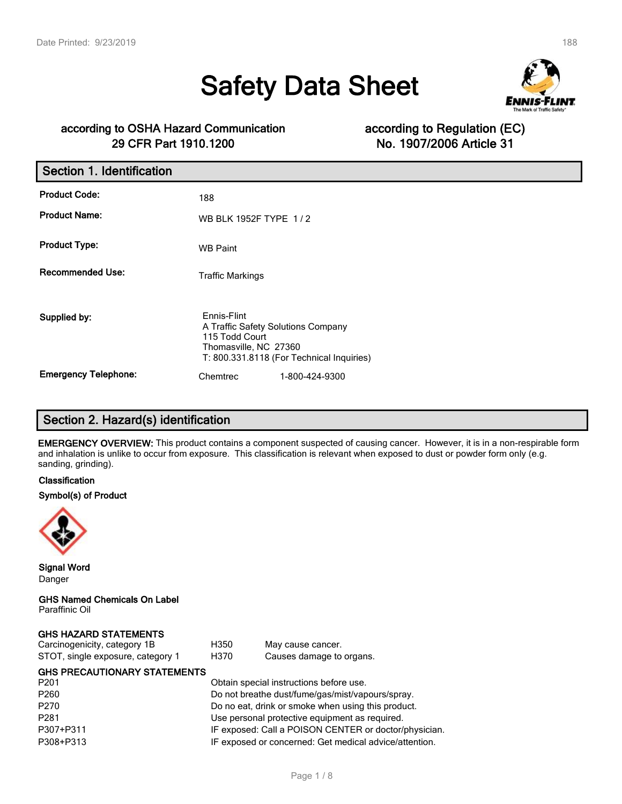# **Safety Data Sheet**



### **according to OSHA Hazard Communication according to Regulation (EC) 29 CFR Part 1910.1200 No. 1907/2006 Article 31**

| Section 1. Identification   |                                                                                              |                                           |
|-----------------------------|----------------------------------------------------------------------------------------------|-------------------------------------------|
| <b>Product Code:</b>        | 188                                                                                          |                                           |
| <b>Product Name:</b>        | WB BLK 1952F TYPE 1/2                                                                        |                                           |
| <b>Product Type:</b>        | <b>WB Paint</b>                                                                              |                                           |
| <b>Recommended Use:</b>     | <b>Traffic Markings</b>                                                                      |                                           |
| Supplied by:                | Ennis-Flint<br>A Traffic Safety Solutions Company<br>115 Todd Court<br>Thomasville, NC 27360 | T: 800.331.8118 (For Technical Inquiries) |
| <b>Emergency Telephone:</b> | Chemtrec                                                                                     | 1-800-424-9300                            |

# **Section 2. Hazard(s) identification**

**EMERGENCY OVERVIEW:** This product contains a component suspected of causing cancer. However, it is in a non-respirable form and inhalation is unlike to occur from exposure. This classification is relevant when exposed to dust or powder form only (e.g. sanding, grinding).

#### **Classification**

#### **Symbol(s) of Product**



**Signal Word** Danger

**GHS Named Chemicals On Label** Paraffinic Oil

#### **GHS HAZARD STATEMENTS**

| Carcinogenicity, category 1B      | H350 | May cause cancer.        |
|-----------------------------------|------|--------------------------|
| STOT, single exposure, category 1 | H370 | Causes damage to organs. |

| <b>GHS PRECAUTIONARY STATEMENTS</b> |                                                        |
|-------------------------------------|--------------------------------------------------------|
| P201                                | Obtain special instructions before use.                |
| P260                                | Do not breathe dust/fume/gas/mist/vapours/spray.       |
| P270                                | Do no eat, drink or smoke when using this product.     |
| P281                                | Use personal protective equipment as required.         |
| P307+P311                           | IF exposed: Call a POISON CENTER or doctor/physician.  |
| P308+P313                           | IF exposed or concerned: Get medical advice/attention. |
|                                     |                                                        |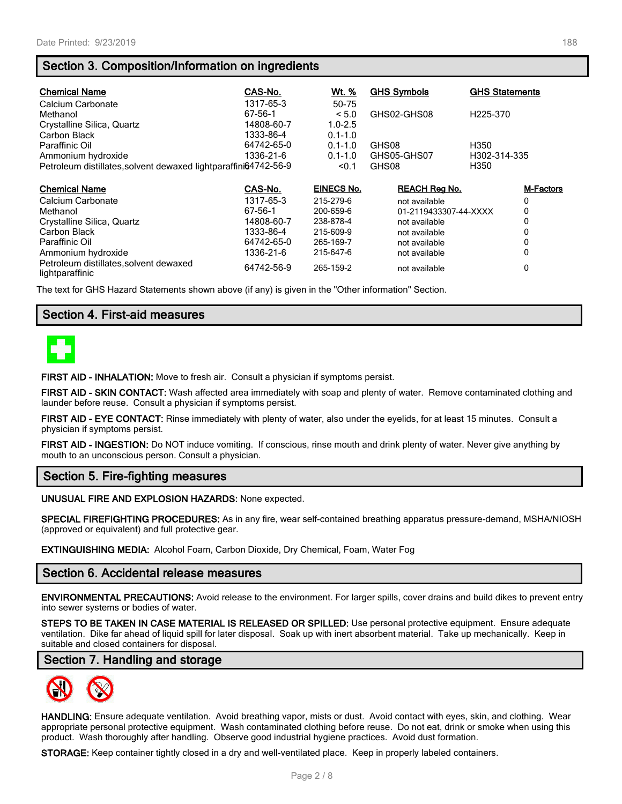### **Section 3. Composition/Information on ingredients**

| <b>Chemical Name</b>                                            | CAS-No.    | <u>Wt. %</u>      | <b>GHS Symbols</b>    | <b>GHS Statements</b> |
|-----------------------------------------------------------------|------------|-------------------|-----------------------|-----------------------|
| Calcium Carbonate                                               | 1317-65-3  | 50-75             |                       |                       |
| Methanol                                                        | 67-56-1    | < 5.0             | GHS02-GHS08           | H <sub>225</sub> -370 |
| Crystalline Silica, Quartz                                      | 14808-60-7 | $1.0 - 2.5$       |                       |                       |
| Carbon Black                                                    | 1333-86-4  | $0.1 - 1.0$       |                       |                       |
| Paraffinic Oil                                                  | 64742-65-0 | $0.1 - 1.0$       | GHS08                 | H350                  |
| Ammonium hydroxide                                              | 1336-21-6  | $0.1 - 1.0$       | GHS05-GHS07           | H302-314-335          |
| Petroleum distillates, solvent dewaxed lightparaffini64742-56-9 |            | < 0.1             | GHS08                 | H350                  |
|                                                                 |            |                   |                       |                       |
| <b>Chemical Name</b>                                            | CAS-No.    | <b>EINECS No.</b> | <b>REACH Reg No.</b>  | <b>M-Factors</b>      |
| Calcium Carbonate                                               | 1317-65-3  | 215-279-6         | not available         | 0                     |
| Methanol                                                        | 67-56-1    | 200-659-6         | 01-2119433307-44-XXXX | 0                     |
| Crystalline Silica, Quartz                                      | 14808-60-7 | 238-878-4         | not available         | 0                     |
| Carbon Black                                                    | 1333-86-4  | 215-609-9         | not available         | 0                     |
| Paraffinic Oil                                                  | 64742-65-0 | 265-169-7         | not available         | 0                     |
| Ammonium hydroxide                                              | 1336-21-6  | 215-647-6         | not available         | 0                     |
| Petroleum distillates, solvent dewaxed<br>lightparaffinic       | 64742-56-9 | 265-159-2         | not available         | 0                     |

The text for GHS Hazard Statements shown above (if any) is given in the "Other information" Section.

### **Section 4. First-aid measures**



**FIRST AID - INHALATION:** Move to fresh air. Consult a physician if symptoms persist.

**FIRST AID - SKIN CONTACT:** Wash affected area immediately with soap and plenty of water. Remove contaminated clothing and launder before reuse. Consult a physician if symptoms persist.

**FIRST AID - EYE CONTACT:** Rinse immediately with plenty of water, also under the eyelids, for at least 15 minutes. Consult a physician if symptoms persist.

**FIRST AID - INGESTION:** Do NOT induce vomiting. If conscious, rinse mouth and drink plenty of water. Never give anything by mouth to an unconscious person. Consult a physician.

#### **Section 5. Fire-fighting measures**

**UNUSUAL FIRE AND EXPLOSION HAZARDS:** None expected.

**SPECIAL FIREFIGHTING PROCEDURES:** As in any fire, wear self-contained breathing apparatus pressure-demand, MSHA/NIOSH (approved or equivalent) and full protective gear.

**EXTINGUISHING MEDIA:** Alcohol Foam, Carbon Dioxide, Dry Chemical, Foam, Water Fog

#### **Section 6. Accidental release measures**

**ENVIRONMENTAL PRECAUTIONS:** Avoid release to the environment. For larger spills, cover drains and build dikes to prevent entry into sewer systems or bodies of water.

**STEPS TO BE TAKEN IN CASE MATERIAL IS RELEASED OR SPILLED:** Use personal protective equipment. Ensure adequate ventilation. Dike far ahead of liquid spill for later disposal. Soak up with inert absorbent material. Take up mechanically. Keep in suitable and closed containers for disposal.

#### **Section 7. Handling and storage**



**HANDLING:** Ensure adequate ventilation. Avoid breathing vapor, mists or dust. Avoid contact with eyes, skin, and clothing. Wear appropriate personal protective equipment. Wash contaminated clothing before reuse. Do not eat, drink or smoke when using this product. Wash thoroughly after handling. Observe good industrial hygiene practices. Avoid dust formation.

**STORAGE:** Keep container tightly closed in a dry and well-ventilated place. Keep in properly labeled containers.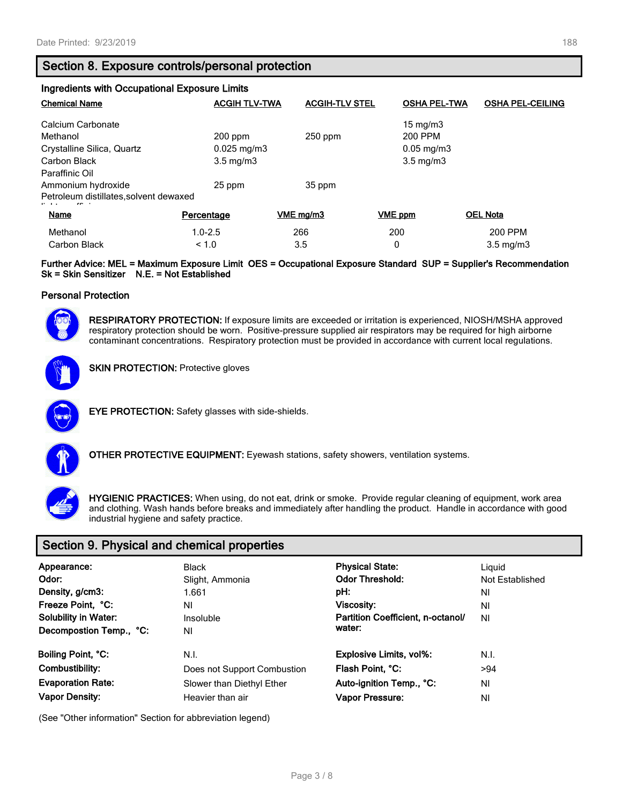| <b>Ingredients with Occupational Exposure Limits</b> |                         |                       |                        |                         |  |
|------------------------------------------------------|-------------------------|-----------------------|------------------------|-------------------------|--|
| <b>Chemical Name</b>                                 | <b>ACGIH TLV-TWA</b>    | <b>ACGIH-TLV STEL</b> | <b>OSHA PEL-TWA</b>    | <b>OSHA PEL-CEILING</b> |  |
| Calcium Carbonate                                    |                         |                       | $15 \text{ mg/m}$      |                         |  |
| Methanol                                             | $200$ ppm               | $250$ ppm             | 200 PPM                |                         |  |
| Crystalline Silica, Quartz                           | $0.025 \,\mathrm{mg/m}$ |                       | $0.05 \,\mathrm{mg/m}$ |                         |  |
| Carbon Black                                         | $3.5 \text{ mg/m}$      |                       | $3.5 \text{ mg/m}$     |                         |  |
| Paraffinic Oil                                       |                         |                       |                        |                         |  |
| Ammonium hydroxide                                   | 25 ppm                  | 35 ppm                |                        |                         |  |
| Petroleum distillates, solvent dewaxed               |                         |                       |                        |                         |  |
| Name                                                 | Percentage              | VME mg/m3             | VME ppm                | <b>OEL Nota</b>         |  |
| Methanol                                             | $1.0 - 2.5$             | 266                   | 200                    | 200 PPM                 |  |
| Carbon Black                                         | < 1.0                   | 3.5                   | 0                      | $3.5 \text{ mg/m}$      |  |

**Further Advice: MEL = Maximum Exposure Limit OES = Occupational Exposure Standard SUP = Supplier's Recommendation Sk = Skin Sensitizer N.E. = Not Established**

#### **Personal Protection**



**RESPIRATORY PROTECTION:** If exposure limits are exceeded or irritation is experienced, NIOSH/MSHA approved respiratory protection should be worn. Positive-pressure supplied air respirators may be required for high airborne contaminant concentrations. Respiratory protection must be provided in accordance with current local regulations.





**EYE PROTECTION:** Safety glasses with side-shields.



**OTHER PROTECTIVE EQUIPMENT:** Eyewash stations, safety showers, ventilation systems.



**HYGIENIC PRACTICES:** When using, do not eat, drink or smoke. Provide regular cleaning of equipment, work area and clothing. Wash hands before breaks and immediately after handling the product. Handle in accordance with good industrial hygiene and safety practice.

### **Section 9. Physical and chemical properties**

| Appearance:<br>Odor:<br>Density, g/cm3:<br>Freeze Point, °C:<br><b>Solubility in Water:</b><br>Decompostion Temp., °C: | <b>Black</b><br>Slight, Ammonia<br>1.661<br>ΝI<br>Insoluble<br>ΝI | <b>Physical State:</b><br><b>Odor Threshold:</b><br>pH:<br>Viscosity:<br>Partition Coefficient, n-octanol/<br>water: | Liguid<br>Not Established<br>ΝI<br>ΝI<br>NI |
|------------------------------------------------------------------------------------------------------------------------|-------------------------------------------------------------------|----------------------------------------------------------------------------------------------------------------------|---------------------------------------------|
| Boiling Point, °C:                                                                                                     | N.I.                                                              | <b>Explosive Limits, vol%:</b>                                                                                       | N.I.                                        |
| Combustibility:                                                                                                        | Does not Support Combustion                                       | Flash Point, °C:                                                                                                     | >94                                         |
| <b>Evaporation Rate:</b>                                                                                               | Slower than Diethyl Ether                                         | Auto-ignition Temp., °C:                                                                                             | ΝI                                          |
| <b>Vapor Density:</b>                                                                                                  | Heavier than air                                                  | <b>Vapor Pressure:</b>                                                                                               | ΝI                                          |

(See "Other information" Section for abbreviation legend)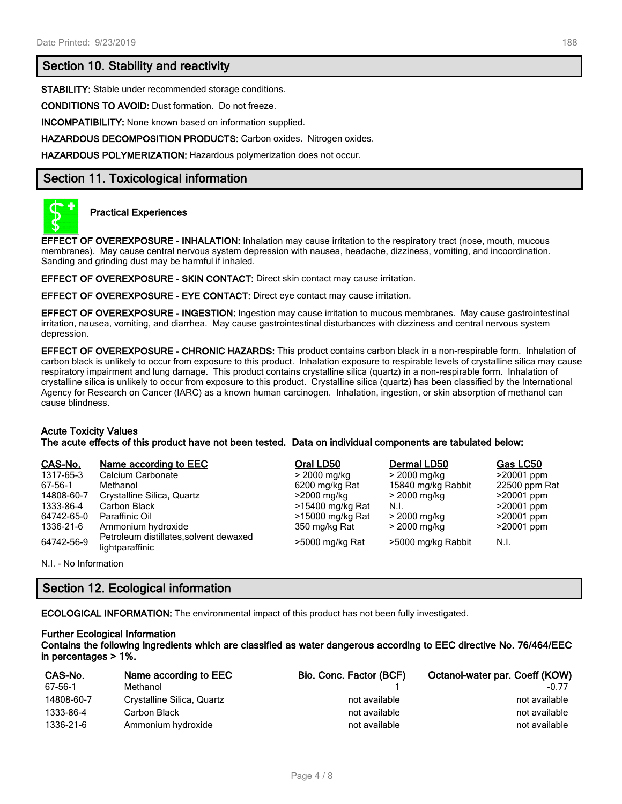#### **Section 10. Stability and reactivity**

**STABILITY:** Stable under recommended storage conditions.

**CONDITIONS TO AVOID:** Dust formation. Do not freeze.

**INCOMPATIBILITY:** None known based on information supplied.

**HAZARDOUS DECOMPOSITION PRODUCTS:** Carbon oxides. Nitrogen oxides.

**HAZARDOUS POLYMERIZATION:** Hazardous polymerization does not occur.

#### **Section 11. Toxicological information**



#### **Practical Experiences**

**EFFECT OF OVEREXPOSURE - INHALATION:** Inhalation may cause irritation to the respiratory tract (nose, mouth, mucous membranes). May cause central nervous system depression with nausea, headache, dizziness, vomiting, and incoordination. Sanding and grinding dust may be harmful if inhaled.

**EFFECT OF OVEREXPOSURE - SKIN CONTACT:** Direct skin contact may cause irritation.

**EFFECT OF OVEREXPOSURE - EYE CONTACT:** Direct eye contact may cause irritation.

**EFFECT OF OVEREXPOSURE - INGESTION:** Ingestion may cause irritation to mucous membranes. May cause gastrointestinal irritation, nausea, vomiting, and diarrhea. May cause gastrointestinal disturbances with dizziness and central nervous system depression.

**EFFECT OF OVEREXPOSURE - CHRONIC HAZARDS:** This product contains carbon black in a non-respirable form. Inhalation of carbon black is unlikely to occur from exposure to this product. Inhalation exposure to respirable levels of crystalline silica may cause respiratory impairment and lung damage. This product contains crystalline silica (quartz) in a non-respirable form. Inhalation of crystalline silica is unlikely to occur from exposure to this product. Crystalline silica (quartz) has been classified by the International Agency for Research on Cancer (IARC) as a known human carcinogen. Inhalation, ingestion, or skin absorption of methanol can cause blindness.

#### **Acute Toxicity Values**

**The acute effects of this product have not been tested. Data on individual components are tabulated below:**

| CAS-No.    | Name according to EEC                                     | Oral LD50        | Dermal LD50        | Gas LC50      |
|------------|-----------------------------------------------------------|------------------|--------------------|---------------|
| 1317-65-3  | Calcium Carbonate                                         | > 2000 mg/kg     | > 2000 mg/kg       | $>20001$ ppm  |
| 67-56-1    | Methanol                                                  | 6200 mg/kg Rat   | 15840 mg/kg Rabbit | 22500 ppm Rat |
| 14808-60-7 | Crystalline Silica, Quartz                                | >2000 mg/kg      | > 2000 mg/kg       | >20001 ppm    |
| 1333-86-4  | Carbon Black                                              | >15400 mg/kg Rat | N.I.               | $>20001$ ppm  |
| 64742-65-0 | Paraffinic Oil                                            | >15000 mg/kg Rat | > 2000 mg/kg       | $>20001$ ppm  |
| 1336-21-6  | Ammonium hydroxide                                        | 350 mg/kg Rat    | > 2000 mg/kg       | $>20001$ ppm  |
| 64742-56-9 | Petroleum distillates, solvent dewaxed<br>lightparaffinic | >5000 mg/kg Rat  | >5000 mg/kg Rabbit | N.I.          |

N.I. - No Information

### **Section 12. Ecological information**

**ECOLOGICAL INFORMATION:** The environmental impact of this product has not been fully investigated.

# **Further Ecological Information**

**Contains the following ingredients which are classified as water dangerous according to EEC directive No. 76/464/EEC in percentages > 1%.**

| CAS-No.    | Name according to EEC      | <b>Bio. Conc. Factor (BCF)</b> | Octanol-water par. Coeff (KOW) |
|------------|----------------------------|--------------------------------|--------------------------------|
| 67-56-1    | Methanol                   |                                | $-0.77$                        |
| 14808-60-7 | Crystalline Silica, Quartz | not available                  | not available                  |
| 1333-86-4  | Carbon Black               | not available                  | not available                  |
| 1336-21-6  | Ammonium hydroxide         | not available                  | not available                  |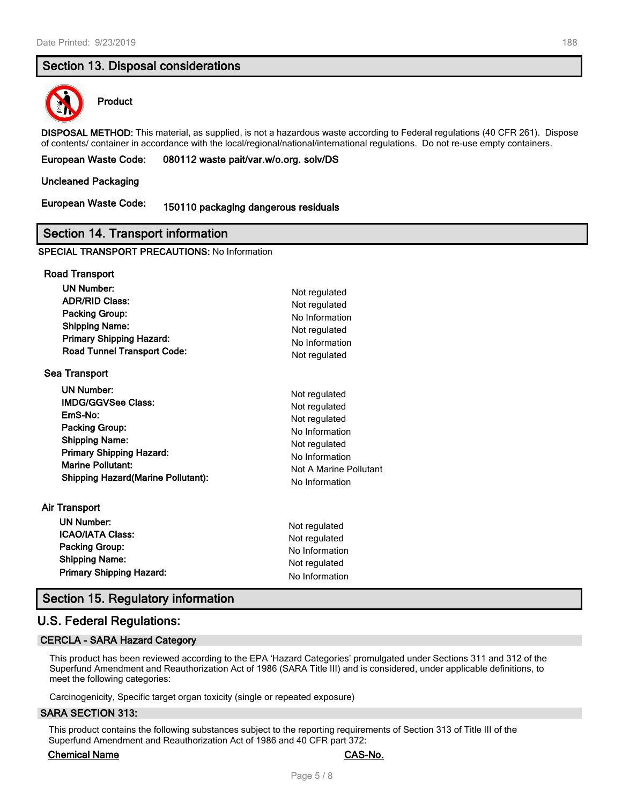#### **Section 13. Disposal considerations**



#### **Product**

**DISPOSAL METHOD:** This material, as supplied, is not a hazardous waste according to Federal regulations (40 CFR 261). Dispose of contents/ container in accordance with the local/regional/national/international regulations. Do not re-use empty containers.

#### **European Waste Code: 080112 waste pait/var.w/o.org. solv/DS**

#### **Uncleaned Packaging**

## **European Waste Code: 150110 packaging dangerous residuals**

#### **Section 14. Transport information**

#### **SPECIAL TRANSPORT PRECAUTIONS:** No Information

| <b>Road Transport</b>                      |                        |
|--------------------------------------------|------------------------|
| <b>UN Number:</b>                          | Not regulated          |
| <b>ADR/RID Class:</b>                      | Not regulated          |
| <b>Packing Group:</b>                      | No Information         |
| <b>Shipping Name:</b>                      | Not regulated          |
| <b>Primary Shipping Hazard:</b>            | No Information         |
| <b>Road Tunnel Transport Code:</b>         | Not regulated          |
| <b>Sea Transport</b>                       |                        |
| UN Number:                                 | Not regulated          |
| <b>IMDG/GGVSee Class:</b>                  | Not regulated          |
| EmS-No:                                    | Not regulated          |
| <b>Packing Group:</b>                      | No Information         |
| <b>Shipping Name:</b>                      | Not regulated          |
| <b>Primary Shipping Hazard:</b>            | No Information         |
| <b>Marine Pollutant:</b>                   | Not A Marine Pollutant |
| <b>Shipping Hazard (Marine Pollutant):</b> | No Information         |
| Air Transport                              |                        |
| <b>UN Number:</b>                          | Not regulated          |
| <b>ICAO/IATA Class:</b>                    | Not regulated          |
| <b>Packing Group:</b>                      | No Information         |
| <b>Shipping Name:</b>                      | Not regulated          |
| <b>Primary Shipping Hazard:</b>            | No Information         |

#### **Section 15. Regulatory information**

#### **U.S. Federal Regulations:**

#### **CERCLA - SARA Hazard Category**

This product has been reviewed according to the EPA 'Hazard Categories' promulgated under Sections 311 and 312 of the Superfund Amendment and Reauthorization Act of 1986 (SARA Title III) and is considered, under applicable definitions, to meet the following categories:

Carcinogenicity, Specific target organ toxicity (single or repeated exposure)

#### **SARA SECTION 313:**

This product contains the following substances subject to the reporting requirements of Section 313 of Title III of the Superfund Amendment and Reauthorization Act of 1986 and 40 CFR part 372:

#### **Chemical Name CAS-No.**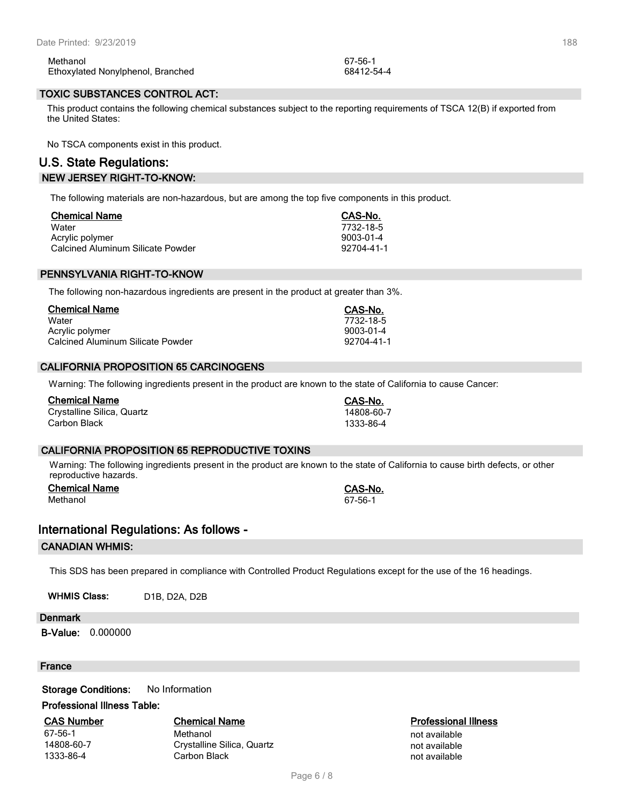| Methanol                          | 67-56-1    |
|-----------------------------------|------------|
| Ethoxylated Nonylphenol, Branched | 68412-54-4 |

#### **TOXIC SUBSTANCES CONTROL ACT:**

This product contains the following chemical substances subject to the reporting requirements of TSCA 12(B) if exported from the United States:

No TSCA components exist in this product.

#### **U.S. State Regulations: NEW JERSEY RIGHT-TO-KNOW:**

The following materials are non-hazardous, but are among the top five components in this product.

| <b>Chemical Name</b>              | CAS-No.    |
|-----------------------------------|------------|
| Water                             | 7732-18-5  |
| Acrylic polymer                   | 9003-01-4  |
| Calcined Aluminum Silicate Powder | 92704-41-1 |

#### **PENNSYLVANIA RIGHT-TO-KNOW**

The following non-hazardous ingredients are present in the product at greater than 3%.

| <b>Chemical Name</b>              | CAS-No.    |
|-----------------------------------|------------|
| Water                             | 7732-18-5  |
| Acrylic polymer                   | 9003-01-4  |
| Calcined Aluminum Silicate Powder | 92704-41-1 |

#### **CALIFORNIA PROPOSITION 65 CARCINOGENS**

Warning: The following ingredients present in the product are known to the state of California to cause Cancer:

| <b>Chemical Name</b>       | CAS-No.    |
|----------------------------|------------|
| Crystalline Silica, Quartz | 14808-60-7 |
| Carbon Black               | 1333-86-4  |

#### **CALIFORNIA PROPOSITION 65 REPRODUCTIVE TOXINS**

Warning: The following ingredients present in the product are known to the state of California to cause birth defects, or other reproductive hazards.

**Chemical Name CAS-No.** Methanol 67-56-1

#### **International Regulations: As follows -**

#### **CANADIAN WHMIS:**

This SDS has been prepared in compliance with Controlled Product Regulations except for the use of the 16 headings.

WHMIS Class: D1B, D2A, D2B

#### **Denmark**

**B-Value:** 0.000000

#### **France**

**Storage Conditions:** No Information

#### **Professional Illness Table:**

**CAS Number Chemical Name Professional Illness**

67-56-1 Methanol not available 14808-60-7 Crystalline Silica, Quartz not available not available 1333-86-4 Carbon Black 2008 Carbon Black not available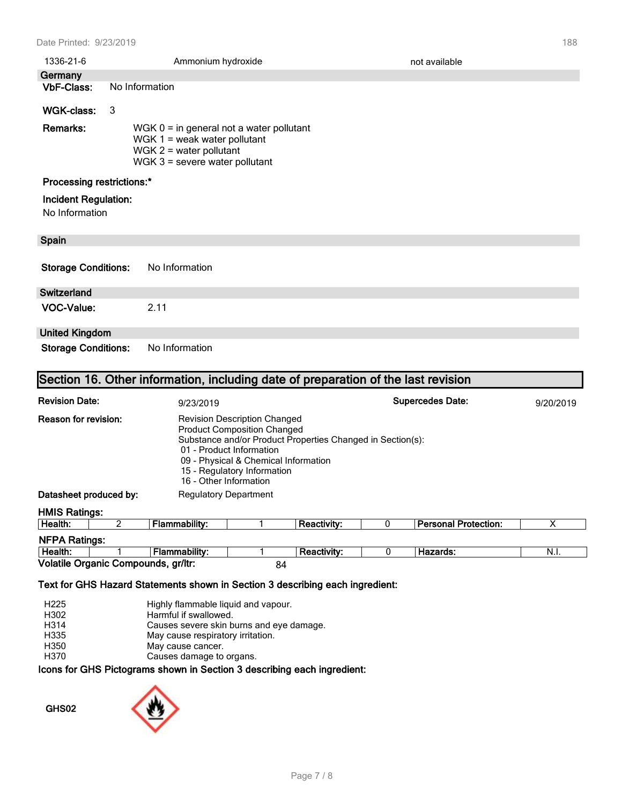| 1336-21-6                                                                         |                                                                                                                                               | Ammonium hydroxide | not available |  |  |  |
|-----------------------------------------------------------------------------------|-----------------------------------------------------------------------------------------------------------------------------------------------|--------------------|---------------|--|--|--|
| Germany                                                                           |                                                                                                                                               |                    |               |  |  |  |
| <b>VbF-Class:</b>                                                                 |                                                                                                                                               | No Information     |               |  |  |  |
| WGK-class:                                                                        | 3                                                                                                                                             |                    |               |  |  |  |
| Remarks:                                                                          | $WGK 0 = in general not a water pollutant$<br>WGK $1$ = weak water pollutant<br>WGK $2$ = water pollutant<br>$WGK$ 3 = severe water pollutant |                    |               |  |  |  |
| <b>Processing restrictions:*</b>                                                  |                                                                                                                                               |                    |               |  |  |  |
| <b>Incident Regulation:</b><br>No Information                                     |                                                                                                                                               |                    |               |  |  |  |
| Spain                                                                             |                                                                                                                                               |                    |               |  |  |  |
| <b>Storage Conditions:</b>                                                        |                                                                                                                                               | No Information     |               |  |  |  |
| <b>Switzerland</b>                                                                |                                                                                                                                               |                    |               |  |  |  |
| <b>VOC-Value:</b>                                                                 |                                                                                                                                               | 2.11               |               |  |  |  |
| <b>United Kingdom</b>                                                             |                                                                                                                                               |                    |               |  |  |  |
|                                                                                   | <b>Storage Conditions:</b><br>No Information                                                                                                  |                    |               |  |  |  |
| Section 16. Other information, including date of preparation of the last revision |                                                                                                                                               |                    |               |  |  |  |

| <b>Revision Date:</b><br>9/23/2019 |   |                                                                                                                                                                                                                                                                      |  | <b>Supercedes Date:</b> |   |                             |      |
|------------------------------------|---|----------------------------------------------------------------------------------------------------------------------------------------------------------------------------------------------------------------------------------------------------------------------|--|-------------------------|---|-----------------------------|------|
| Reason for revision:               |   | <b>Revision Description Changed</b><br><b>Product Composition Changed</b><br>Substance and/or Product Properties Changed in Section(s):<br>01 - Product Information<br>09 - Physical & Chemical Information<br>15 - Regulatory Information<br>16 - Other Information |  |                         |   |                             |      |
| Datasheet produced by:             |   | <b>Regulatory Department</b>                                                                                                                                                                                                                                         |  |                         |   |                             |      |
| <b>HMIS Ratings:</b>               |   |                                                                                                                                                                                                                                                                      |  |                         |   |                             |      |
| Health:                            | 2 | Flammability:                                                                                                                                                                                                                                                        |  | <b>Reactivity:</b>      | 0 | <b>Personal Protection:</b> | Χ    |
| <b>NFPA Ratings:</b>               |   |                                                                                                                                                                                                                                                                      |  |                         |   |                             |      |
| Health:                            |   | <b>Flammability:</b>                                                                                                                                                                                                                                                 |  | <b>Reactivity:</b>      | 0 | Hazards:                    | N.I. |

**Health:** 1 **Flammability:** 1 **Reactivity:** 0 **Hazards:** N.I.

# Volatile Organic Compounds, gr/ltr: 84 **Text for GHS Hazard Statements shown in Section 3 describing each ingredient:**

|                  | .                                        |
|------------------|------------------------------------------|
| H370             | Causes damage to organs.                 |
| H350             | May cause cancer.                        |
| H335             | May cause respiratory irritation.        |
| H314             | Causes severe skin burns and eye damage. |
| H302             | Harmful if swallowed.                    |
| H <sub>225</sub> | Highly flammable liquid and vapour.      |
|                  |                                          |

#### **Icons for GHS Pictograms shown in Section 3 describing each ingredient:**

**GHS02**